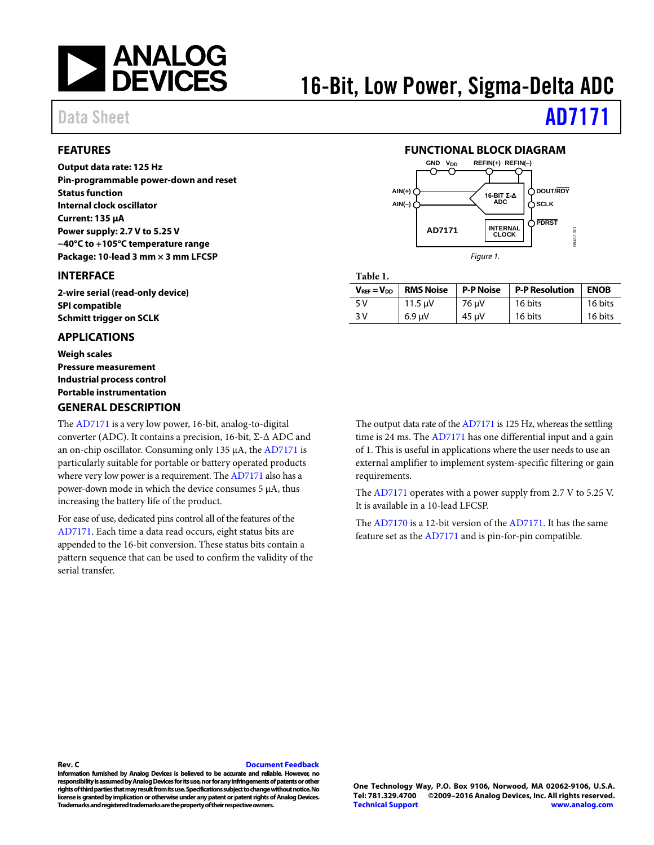

# 16-Bit, Low Power, Sigma-Delta ADC

### <span id="page-0-0"></span>**FEATURES**

**Output data rate: 125 Hz Pin-programmable power-down and reset Status function Internal clock oscillator Current: 135 µA Power supply: 2.7 V to 5.25 V −40°C to +105°C temperature range Package: 10-lead 3 mm × 3 mm LFCSP**

### <span id="page-0-1"></span>**INTERFACE**

**2-wire serial (read-only device) SPI compatible Schmitt trigger on SCLK**

### <span id="page-0-2"></span>**APPLICATIONS**

**Weigh scales Pressure measurement Industrial process control Portable instrumentation GENERAL DESCRIPTION**

### <span id="page-0-4"></span>The [AD7171](http://www.analog.com/AD7171?doc=AD7171.pdf) is a very low power, 16-bit, analog-to-digital converter (ADC). It contains a precision, 16-bit, Σ-Δ ADC and an on-chip oscillator. Consuming only 135 µA, th[e AD7171](http://www.analog.com/AD7171?doc=AD7171.pdf) is particularly suitable for portable or battery operated products where very low power is a requirement. Th[e AD7171](http://www.analog.com/AD7171?doc=AD7171.pdf) also has a power-down mode in which the device consumes 5 μA, thus increasing the battery life of the product.

For ease of use, dedicated pins control all of the features of the [AD7171.](http://www.analog.com/AD7171?doc=AD7171.pdf) Each time a data read occurs, eight status bits are appended to the 16-bit conversion. These status bits contain a pattern sequence that can be used to confirm the validity of the serial transfer.

# Data Sheet **[AD7171](http://www.analog.com/AD7171?doc=AD7171.pdf)**

#### **FUNCTIONAL BLOCK DIAGRAM**

<span id="page-0-3"></span>

**Table 1.** 

| $V_{REF} = V_{DD}$ | <b>RMS Noise</b> | <b>P-P Noise</b> | <b>P-P Resolution</b> | <b>ENOB</b> |
|--------------------|------------------|------------------|-----------------------|-------------|
| 5 V                | 11.5 uV          | 76 µV            | 16 bits               | 16 bits     |
| 3 V                | $6.9 \text{ uV}$ | 45 µV            | 16 bits               | 16 bits     |

The output data rate of th[e AD7171](http://www.analog.com/AD7171?doc=AD7171.pdf) is 125 Hz, whereas the settling time is 24 ms. Th[e AD7171](http://www.analog.com/AD7171?doc=AD7171.pdf) has one differential input and a gain of 1. This is useful in applications where the user needs to use an external amplifier to implement system-specific filtering or gain requirements.

The [AD7171](http://www.analog.com/AD7171?doc=AD7171.pdf) operates with a power supply from 2.7 V to 5.25 V. It is available in a 10-lead LFCSP.

The [AD7170](http://www.analog.com/ad7170?doc=AD7171.pdf) is a 12-bit version of the [AD7171.](http://www.analog.com/AD7171?doc=AD7171.pdf) It has the same feature set as the [AD7171](http://www.analog.com/AD7171?doc=AD7171.pdf) and is pin-for-pin compatible.

#### **Rev. C [Document Feedback](https://form.analog.com/Form_Pages/feedback/documentfeedback.aspx?doc=AD7171.pdf&product=AD7171&rev=C)**

**Information furnished by Analog Devices is believed to be accurate and reliable. However, no**  responsibility is assumed by Analog Devices for its use, nor for any infringements of patents or other **rights of third parties that may result from its use. Specifications subject to change without notice. No license is granted by implication or otherwise under any patent or patent rights of Analog Devices. Trademarks and registered trademarks are the property of their respective owners.**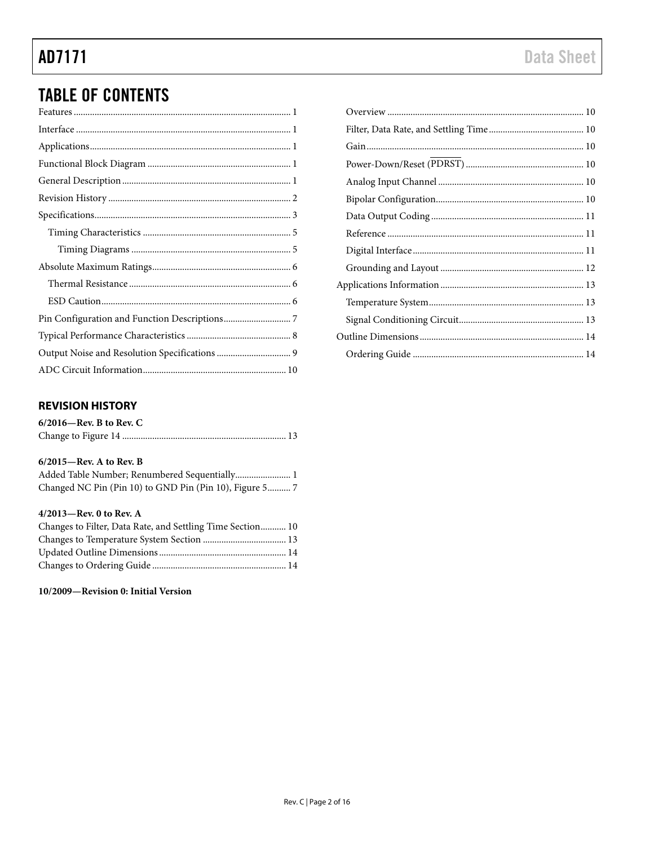# **TABLE OF CONTENTS**

# <span id="page-1-0"></span>**REVISION HISTORY**

| $6/2016$ —Rev. B to Rev. C |  |
|----------------------------|--|
|                            |  |

### 6/2015-Rev. A to Rev. B

| Added Table Number; Renumbered Sequentially 1           |
|---------------------------------------------------------|
| Changed NC Pin (Pin 10) to GND Pin (Pin 10), Figure 5 7 |

### 4/2013-Rev. 0 to Rev. A

| Changes to Filter, Data Rate, and Settling Time Section 10 |  |
|------------------------------------------------------------|--|
|                                                            |  |
|                                                            |  |
|                                                            |  |

#### 10/2009-Revision 0: Initial Version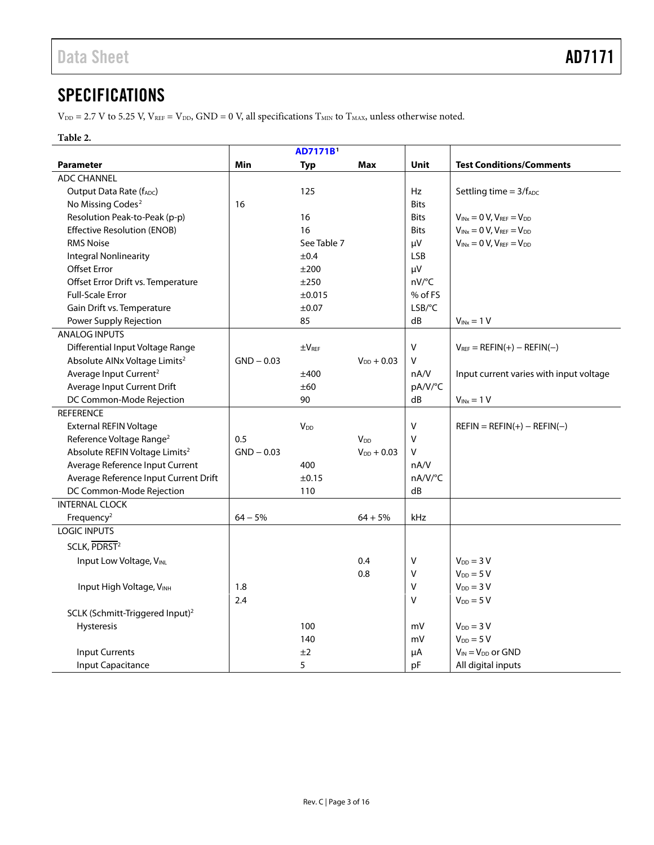# <span id="page-2-0"></span>**SPECIFICATIONS**

 $V_{DD} = 2.7$  V to 5.25 V,  $V_{REF} = V_{DD}$ ,  $GND = 0$  V, all specifications  $T_{MIN}$  to  $T_{MAX}$ , unless otherwise noted.

### **Table 2.**

| <b>AD7171B</b>                              |              |                       |                        |             |                                         |
|---------------------------------------------|--------------|-----------------------|------------------------|-------------|-----------------------------------------|
| <b>Parameter</b>                            | Min          | <b>Typ</b>            | <b>Max</b>             | Unit        | <b>Test Conditions/Comments</b>         |
| <b>ADC CHANNEL</b>                          |              |                       |                        |             |                                         |
| Output Data Rate (fADC)                     |              | 125                   |                        | Hz          | Settling time $= 3/f_{ADC}$             |
| No Missing Codes <sup>2</sup>               | 16           |                       |                        | <b>Bits</b> |                                         |
| Resolution Peak-to-Peak (p-p)               |              | 16                    |                        | <b>Bits</b> | $V_{INX} = 0 V$ , $V_{REF} = V_{DD}$    |
| <b>Effective Resolution (ENOB)</b>          |              | 16                    |                        | <b>Bits</b> | $V_{INX} = 0 V$ , $V_{REF} = V_{DD}$    |
| <b>RMS Noise</b>                            |              | See Table 7           |                        | μV          | $V_{INX} = 0 V$ , $V_{REF} = V_{DD}$    |
| <b>Integral Nonlinearity</b>                |              | ±0.4                  |                        | <b>LSB</b>  |                                         |
| <b>Offset Error</b>                         |              | ±200                  |                        | μV          |                                         |
| Offset Error Drift vs. Temperature          |              | ±250                  |                        | nV/°C       |                                         |
| <b>Full-Scale Error</b>                     |              | ±0.015                |                        | % of FS     |                                         |
| Gain Drift vs. Temperature                  |              | ±0.07                 |                        | LSB/°C      |                                         |
| Power Supply Rejection                      |              | 85                    |                        | dB          | $V_{INx} = 1 V$                         |
| <b>ANALOG INPUTS</b>                        |              |                       |                        |             |                                         |
| Differential Input Voltage Range            |              | $\pm V_{REF}$         |                        | V           | $V_{REF} = REFIN(+) - REFIN(-)$         |
| Absolute AINx Voltage Limits <sup>2</sup>   | $GND - 0.03$ |                       | $V_{DD} + 0.03$        | $\vee$      |                                         |
| Average Input Current <sup>2</sup>          |              | ±400                  |                        | nA/V        | Input current varies with input voltage |
| Average Input Current Drift                 |              | ±60                   |                        | pA/V/°C     |                                         |
| DC Common-Mode Rejection                    |              | 90                    |                        | dB          | $V_{INX} = 1 V$                         |
| <b>REFERENCE</b>                            |              |                       |                        |             |                                         |
| <b>External REFIN Voltage</b>               |              | <b>V<sub>DD</sub></b> |                        | V           | $REFIN = REFIN(+) - REFIN(-)$           |
| Reference Voltage Range <sup>2</sup>        | 0.5          |                       | <b>V</b> <sub>DD</sub> | $\vee$      |                                         |
| Absolute REFIN Voltage Limits <sup>2</sup>  | $GND - 0.03$ |                       | $V_{DD} + 0.03$        | v           |                                         |
| Average Reference Input Current             |              | 400                   |                        | nA/V        |                                         |
| Average Reference Input Current Drift       |              | ±0.15                 |                        | nA/V/°C     |                                         |
| DC Common-Mode Rejection                    |              | 110                   |                        | dB          |                                         |
| <b>INTERNAL CLOCK</b>                       |              |                       |                        |             |                                         |
| Frequency <sup>2</sup>                      | $64 - 5%$    |                       | $64 + 5%$              | kHz         |                                         |
| <b>LOGIC INPUTS</b>                         |              |                       |                        |             |                                         |
| SCLK, PDRST <sup>2</sup>                    |              |                       |                        |             |                                         |
| Input Low Voltage, VINL                     |              |                       | 0.4                    | V           | $V_{DD} = 3 V$                          |
|                                             |              |                       | 0.8                    | V           | $V_{DD} = 5 V$                          |
| Input High Voltage, VINH                    | 1.8          |                       |                        | V           | $V_{DD} = 3 V$                          |
|                                             | 2.4          |                       |                        | V           | $V_{DD} = 5 V$                          |
| SCLK (Schmitt-Triggered Input) <sup>2</sup> |              |                       |                        |             |                                         |
| <b>Hysteresis</b>                           |              | 100                   |                        | mV          | $V_{DD} = 3 V$                          |
|                                             |              | 140                   |                        | mV          | $V_{DD} = 5 V$                          |
| <b>Input Currents</b>                       |              | ±2                    |                        | μA          | $V_{IN} = V_{DD}$ or GND                |
| Input Capacitance                           |              | 5                     |                        | pF          | All digital inputs                      |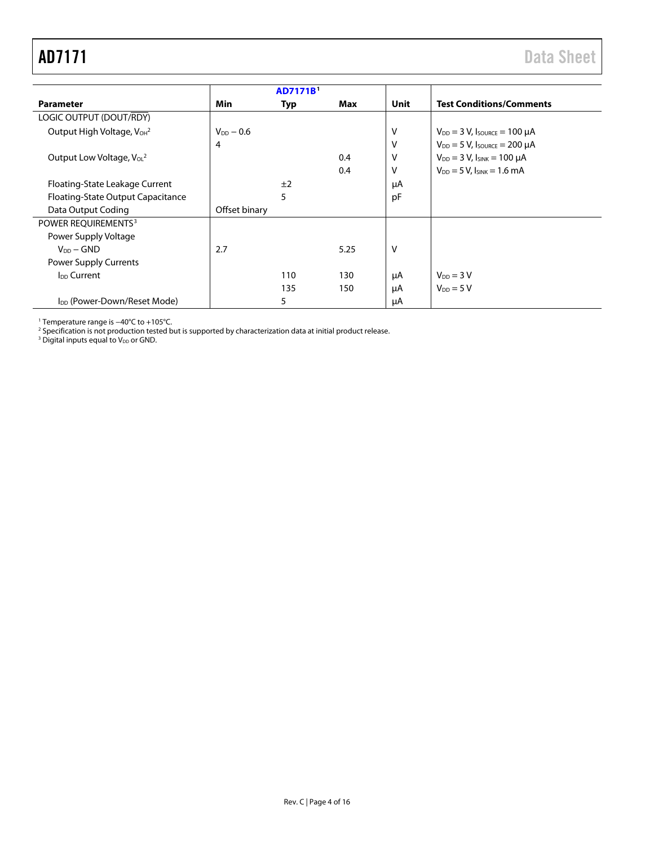<span id="page-3-0"></span>

|                                                   |                          | <b>AD7171B</b> |      |      |                                         |  |
|---------------------------------------------------|--------------------------|----------------|------|------|-----------------------------------------|--|
| <b>Parameter</b>                                  | Min<br>Max<br><b>Typ</b> |                |      | Unit | <b>Test Conditions/Comments</b>         |  |
| LOGIC OUTPUT (DOUT/RDY)                           |                          |                |      |      |                                         |  |
| Output High Voltage, V <sub>OH</sub> <sup>2</sup> | $V_{DD} - 0.6$           |                |      | v    | $V_{DD} = 3 V$ , Isource = 100 µA       |  |
|                                                   | 4                        |                |      | v    | $V_{DD} = 5 V$ , Isource = 200 µA       |  |
| Output Low Voltage, $V_0L^2$                      |                          |                | 0.4  | v    | $V_{DD} = 3 V$ , $I_{SINK} = 100 \mu A$ |  |
|                                                   |                          |                | 0.4  | V    | $V_{DD} = 5 V$ , $I_{SINK} = 1.6 mA$    |  |
| Floating-State Leakage Current                    |                          | ±2             |      | μA   |                                         |  |
| Floating-State Output Capacitance                 |                          | 5              |      | pF   |                                         |  |
| Data Output Coding                                | Offset binary            |                |      |      |                                         |  |
| POWER REQUIREMENTS <sup>3</sup>                   |                          |                |      |      |                                         |  |
| Power Supply Voltage                              |                          |                |      |      |                                         |  |
| $V_{DD} - GND$                                    | 2.7                      |                | 5.25 | v    |                                         |  |
| Power Supply Currents                             |                          |                |      |      |                                         |  |
| <b>I<sub>DD</sub></b> Current                     |                          | 110            | 130  | μA   | $V_{DD} = 3 V$                          |  |
|                                                   |                          | 135            | 150  | μA   | $V_{DD} = 5 V$                          |  |
| I <sub>DD</sub> (Power-Down/Reset Mode)           |                          | 5              |      | μA   |                                         |  |

<sup>1</sup> Temperature range is −40°C to +105°C.

<sup>2</sup> Specification is not production tested but is supported by characterization data at initial product release.

<sup>3</sup> Digital inputs equal to V<sub>DD</sub> or GND.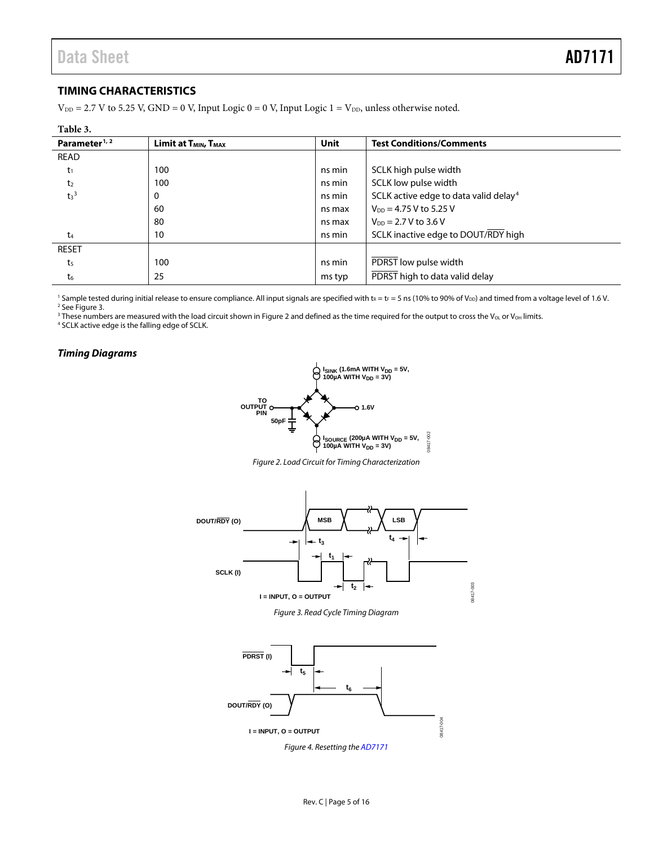## <span id="page-4-0"></span>**TIMING CHARACTERISTICS**

 $V_{DD} = 2.7$  V to 5.25 V, GND = 0 V, Input Logic 0 = 0 V, Input Logic 1 =  $V_{DD}$ , unless otherwise noted.

| Table 3.                  |                                              |             |                                                   |
|---------------------------|----------------------------------------------|-------------|---------------------------------------------------|
| Parameter <sup>1, 2</sup> | Limit at T <sub>MIN</sub> , T <sub>MAX</sub> | <b>Unit</b> | <b>Test Conditions/Comments</b>                   |
| <b>READ</b>               |                                              |             |                                                   |
| $t_1$                     | 100                                          | ns min      | SCLK high pulse width                             |
| t <sub>2</sub>            | 100                                          | ns min      | SCLK low pulse width                              |
| $t_3$ <sup>3</sup>        | 0                                            | ns min      | SCLK active edge to data valid delay <sup>4</sup> |
|                           | 60                                           | ns max      | $V_{DD} = 4.75 V$ to 5.25 V                       |
|                           | 80                                           | ns max      | $V_{DD} = 2.7 V$ to 3.6 V                         |
| t4                        | 10                                           | ns min      | SCLK inactive edge to DOUT/RDY high               |
| <b>RESET</b>              |                                              |             |                                                   |
| t <sub>5</sub>            | 100                                          | ns min      | PDRST low pulse width                             |
| t <sub>6</sub>            | 25                                           | ms typ      | PDRST high to data valid delay                    |

<sup>1</sup> Sample tested during initial release to ensure compliance. All input signals are specified with  $t_R = t_F = 5$  ns (10% to 90% of V<sub>DD</sub>) and timed from a voltage level of 1.6 V. <sup>2</sup> Se[e Figure 3.](#page-4-2)

<sup>3</sup> These numbers are measured with the load circuit shown in [Figure 2](#page-4-3) and defined as the time required for the output to cross the V<sub>OL</sub> or V<sub>OH</sub> limits.

<sup>4</sup> SCLK active edge is the falling edge of SCLK.

#### <span id="page-4-3"></span><span id="page-4-1"></span>*Timing Diagrams*



*Figure 2. Load Circuit for Timing Characterization*





<span id="page-4-4"></span><span id="page-4-2"></span>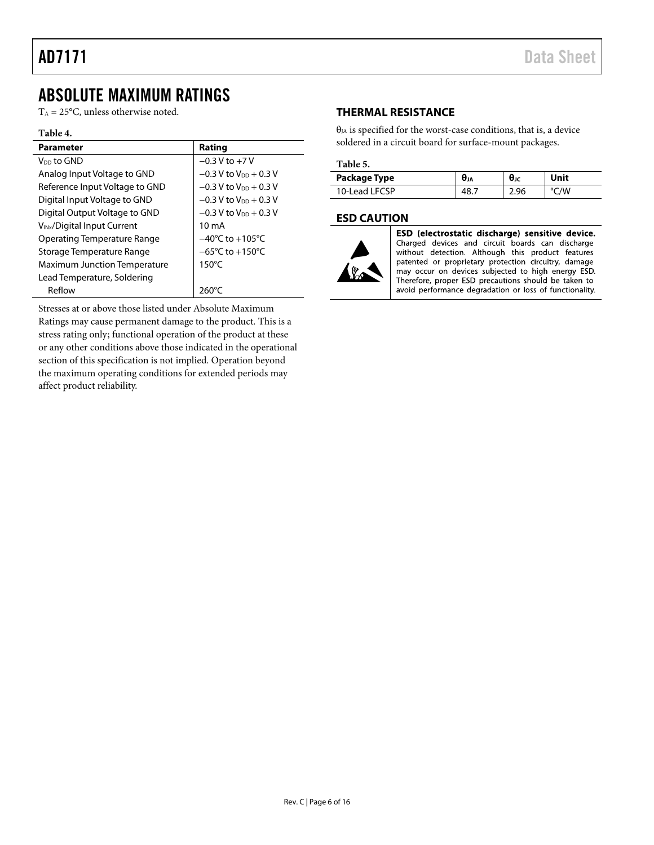# <span id="page-5-0"></span>ABSOLUTE MAXIMUM RATINGS

 $T_A = 25$ °C, unless otherwise noted.

#### **Table 4.**

| <b>Parameter</b>                        | Rating                               |
|-----------------------------------------|--------------------------------------|
| V <sub>DD</sub> to GND                  | $-0.3$ V to $+7$ V                   |
| Analog Input Voltage to GND             | $-0.3$ V to V <sub>pp</sub> $+0.3$ V |
| Reference Input Voltage to GND          | $-0.3$ V to $V_{DD}$ + 0.3 V         |
| Digital Input Voltage to GND            | $-0.3$ V to V <sub>pp</sub> $+0.3$ V |
| Digital Output Voltage to GND           | $-0.3$ V to V <sub>pp</sub> $+0.3$ V |
| V <sub>INx</sub> /Digital Input Current | $10 \text{ mA}$                      |
| <b>Operating Temperature Range</b>      | $-40^{\circ}$ C to $+105^{\circ}$ C  |
| Storage Temperature Range               | $-65^{\circ}$ C to $+150^{\circ}$ C  |
| <b>Maximum Junction Temperature</b>     | $150^{\circ}$ C                      |
| Lead Temperature, Soldering             |                                      |
| Reflow                                  | $260^{\circ}$ C                      |

Stresses at or above those listed under Absolute Maximum Ratings may cause permanent damage to the product. This is a stress rating only; functional operation of the product at these or any other conditions above those indicated in the operational section of this specification is not implied. Operation beyond the maximum operating conditions for extended periods may affect product reliability.

### <span id="page-5-1"></span>**THERMAL RESISTANCE**

 $\theta_{JA}$  is specified for the worst-case conditions, that is, a device soldered in a circuit board for surface-mount packages.

### **Table 5.**

| Package Type  | UJA | UJC  | Jnit |
|---------------|-----|------|------|
| 10-Lead LECSP |     | 2.96 | 'W   |

### <span id="page-5-2"></span>**ESD CAUTION**



ESD (electrostatic discharge) sensitive device. Charged devices and circuit boards can discharge<br>without detection. Although this product features patented or proprietary protection circuitry, damage may occur on devices subjected to high energy ESD. Therefore, proper ESD precautions should be taken to avoid performance degradation or loss of functionality.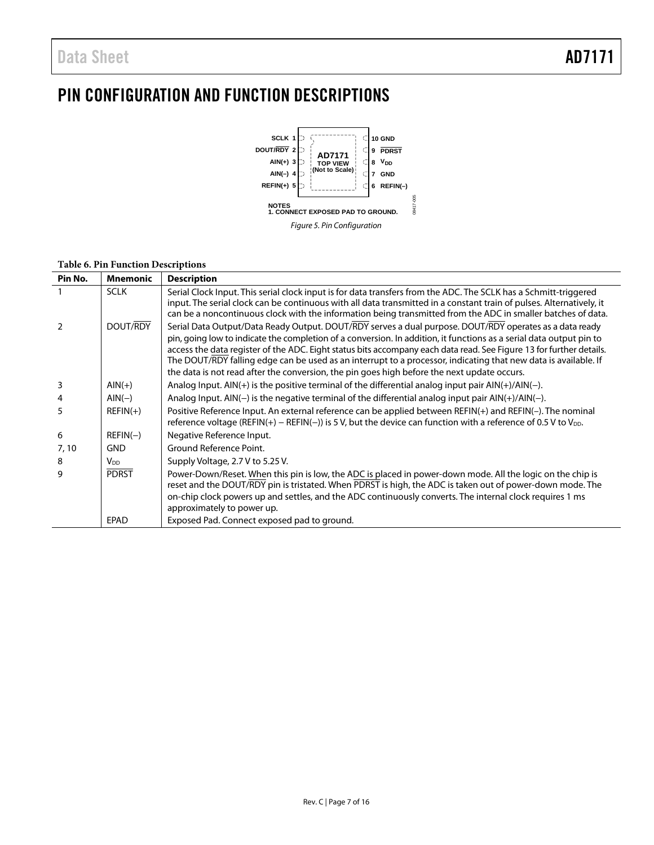# <span id="page-6-0"></span>PIN CONFIGURATION AND FUNCTION DESCRIPTIONS



### **Table 6. Pin Function Descriptions**

| Pin No.       | <b>Mnemonic</b> | <b>Description</b>                                                                                                                                                                                                                                                                                                                                                                                                                                                                                                                                                      |
|---------------|-----------------|-------------------------------------------------------------------------------------------------------------------------------------------------------------------------------------------------------------------------------------------------------------------------------------------------------------------------------------------------------------------------------------------------------------------------------------------------------------------------------------------------------------------------------------------------------------------------|
|               | <b>SCLK</b>     | Serial Clock Input. This serial clock input is for data transfers from the ADC. The SCLK has a Schmitt-triggered<br>input. The serial clock can be continuous with all data transmitted in a constant train of pulses. Alternatively, it<br>can be a noncontinuous clock with the information being transmitted from the ADC in smaller batches of data.                                                                                                                                                                                                                |
| $\mathcal{P}$ | DOUT/RDY        | Serial Data Output/Data Ready Output. DOUT/RDY serves a dual purpose. DOUT/RDY operates as a data ready<br>pin, going low to indicate the completion of a conversion. In addition, it functions as a serial data output pin to<br>access the data register of the ADC. Eight status bits accompany each data read. See Figure 13 for further details.<br>The DOUT/RDY falling edge can be used as an interrupt to a processor, indicating that new data is available. If<br>the data is not read after the conversion, the pin goes high before the next update occurs. |
| 3             | $AlN(+)$        | Analog Input. $AIN(+)$ is the positive terminal of the differential analog input pair $AIN(+) / AIN(-)$ .                                                                                                                                                                                                                                                                                                                                                                                                                                                               |
| 4             | $AIN(-)$        | Analog Input. $AIN(-)$ is the negative terminal of the differential analog input pair $AIN(+)/AIN(-)$ .                                                                                                                                                                                                                                                                                                                                                                                                                                                                 |
| 5             | $REFIN(+)$      | Positive Reference Input. An external reference can be applied between REFIN(+) and REFIN(-). The nominal<br>reference voltage (REFIN(+) - REFIN(-)) is 5 V, but the device can function with a reference of 0.5 V to $V_{DD}$ .                                                                                                                                                                                                                                                                                                                                        |
| 6             | $REFIN(-)$      | Negative Reference Input.                                                                                                                                                                                                                                                                                                                                                                                                                                                                                                                                               |
| 7,10          | <b>GND</b>      | Ground Reference Point.                                                                                                                                                                                                                                                                                                                                                                                                                                                                                                                                                 |
| 8             | $V_{DD}$        | Supply Voltage, 2.7 V to 5.25 V.                                                                                                                                                                                                                                                                                                                                                                                                                                                                                                                                        |
| q             | <b>PDRST</b>    | Power-Down/Reset. When this pin is low, the ADC is placed in power-down mode. All the logic on the chip is<br>reset and the DOUT/RDY pin is tristated. When PDRST is high, the ADC is taken out of power-down mode. The<br>on-chip clock powers up and settles, and the ADC continuously converts. The internal clock requires 1 ms<br>approximately to power up.                                                                                                                                                                                                       |
|               | EPAD            | Exposed Pad. Connect exposed pad to ground.                                                                                                                                                                                                                                                                                                                                                                                                                                                                                                                             |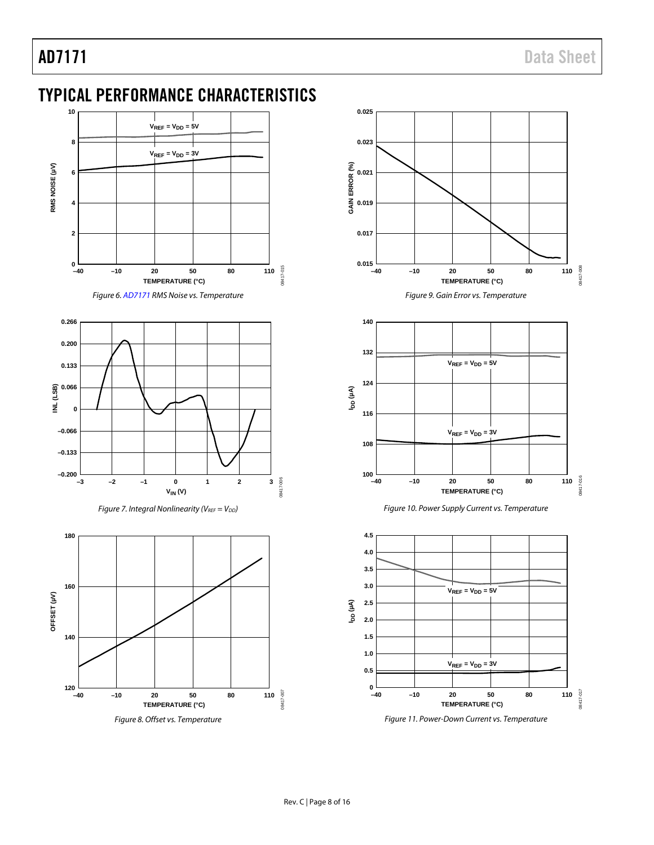# <span id="page-7-0"></span>TYPICAL PERFORMANCE CHARACTERISTICS











*Figure 9. Gain Error vs. Temperature*







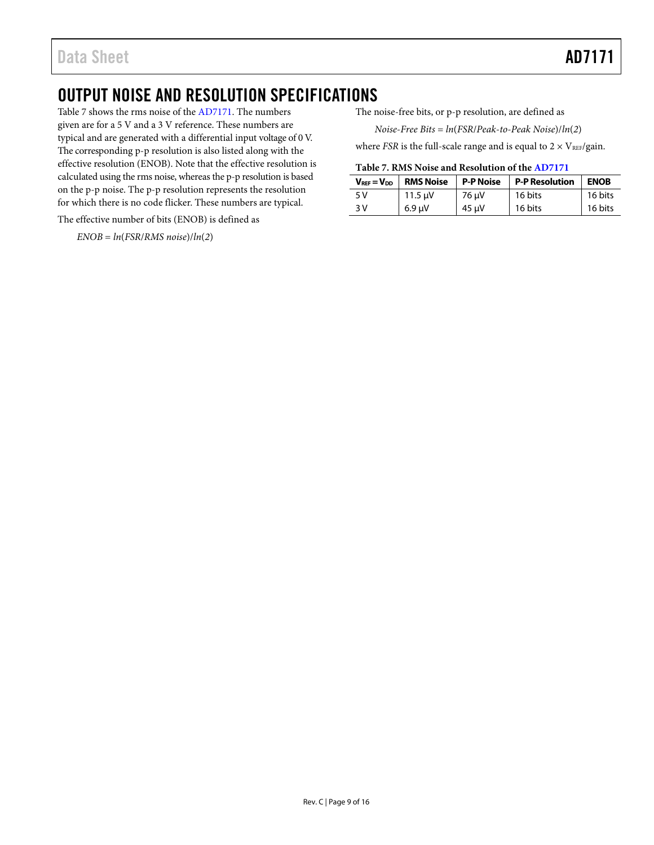# <span id="page-8-0"></span>OUTPUT NOISE AND RESOLUTION SPECIFICATIONS

[Table 7](#page-8-1) shows the rms noise of th[e AD7171.](http://www.analog.com/AD7171?doc=AD7171.pdf) The numbers given are for a 5 V and a 3 V reference. These numbers are typical and are generated with a differential input voltage of 0 V. The corresponding p-p resolution is also listed along with the effective resolution (ENOB). Note that the effective resolution is calculated using the rms noise, whereas the p-p resolution is based on the p-p noise. The p-p resolution represents the resolution for which there is no code flicker. These numbers are typical.

The effective number of bits (ENOB) is defined as

 $ENOB = ln(FSR/RMS noise)/ln(2)$ 

The noise-free bits, or p-p resolution, are defined as

*Noise*-*Free Bits* = *ln*(*FSR*/*Peak*-*to*-*Peak Noise*)/*ln*(*2*)

where *FSR* is the full-scale range and is equal to  $2 \times V_{REF}/gain$ .

#### <span id="page-8-1"></span>**Table 7. RMS Noise and Resolution of th[e AD7171](http://www.analog.com/AD7171?doc=AD7171.pdf)**

| $V_{REF} = V_{DD}$ | <b>RMS Noise</b> | <b>P-P Noise</b> | <b>P-P Resolution</b> | <b>ENOB</b> |
|--------------------|------------------|------------------|-----------------------|-------------|
| 5 V                | 11.5 $\mu$ V     | 76 µV            | 16 bits               | 16 bits     |
| 3 V                | $6.9$ uV         | 45 µV            | 16 bits               | 16 bits     |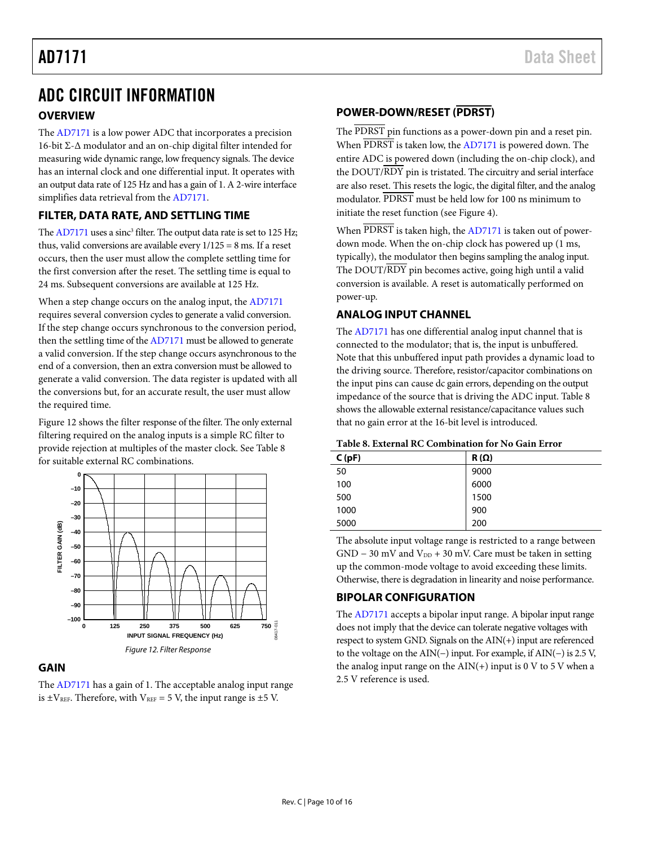# <span id="page-9-0"></span>ADC CIRCUIT INFORMATION

### <span id="page-9-1"></span>**OVERVIEW**

The [AD7171](http://www.analog.com/AD7171?doc=AD7171.pdf) is a low power ADC that incorporates a precision 16-bit Σ-∆ modulator and an on-chip digital filter intended for measuring wide dynamic range, low frequency signals. The device has an internal clock and one differential input. It operates with an output data rate of 125 Hz and has a gain of 1. A 2-wire interface simplifies data retrieval from the [AD7171.](http://www.analog.com/AD7171?doc=AD7171.pdf) 

### <span id="page-9-2"></span>**FILTER, DATA RATE, AND SETTLING TIME**

Th[e AD7171](http://www.analog.com/AD7171?doc=AD7171.pdf) uses a sinc<sup>3</sup> filter. The output data rate is set to 125 Hz; thus, valid conversions are available every  $1/125 = 8$  ms. If a reset occurs, then the user must allow the complete settling time for the first conversion after the reset. The settling time is equal to 24 ms. Subsequent conversions are available at 125 Hz.

When a step change occurs on the analog input, th[e AD7171](http://www.analog.com/AD7171?doc=AD7171.pdf) requires several conversion cycles to generate a valid conversion. If the step change occurs synchronous to the conversion period, then the settling time of th[e AD7171](http://www.analog.com/AD7171?doc=AD7171.pdf) must be allowed to generate a valid conversion. If the step change occurs asynchronous to the end of a conversion, then an extra conversion must be allowed to generate a valid conversion. The data register is updated with all the conversions but, for an accurate result, the user must allow the required time.

[Figure 12](#page-9-7) shows the filter response of the filter. The only external filtering required on the analog inputs is a simple RC filter to provide rejection at multiples of the master clock. See [Table 8](#page-9-8) for suitable external RC combinations.



### <span id="page-9-7"></span><span id="page-9-3"></span>**GAIN**

The [AD7171](http://www.analog.com/AD7171?doc=AD7171.pdf) has a gain of 1. The acceptable analog input range is  $\pm V_{REF}$ . Therefore, with  $V_{REF}$  = 5 V, the input range is  $\pm$ 5 V.

# <span id="page-9-4"></span>**POWER-DOWN/RESET (PDRST)**

The PDRST pin functions as a power-down pin and a reset pin. When PDRST is taken low, the [AD7171](http://www.analog.com/AD7171?doc=AD7171.pdf) is powered down. The entire ADC is powered down (including the on-chip clock), and the DOUT/RDY pin is tristated. The circuitry and serial interface are also reset. This resets the logic, the digital filter, and the analog modulator. PDRST must be held low for 100 ns minimum to initiate the reset function (see [Figure 4\)](#page-4-4).

When PDRST is taken high, the [AD7171](http://www.analog.com/AD7171?doc=AD7171.pdf) is taken out of powerdown mode. When the on-chip clock has powered up (1 ms, typically), the modulator then begins sampling the analog input. The DOUT/RDY pin becomes active, going high until a valid conversion is available. A reset is automatically performed on power-up.

# <span id="page-9-5"></span>**ANALOG INPUT CHANNEL**

The [AD7171](http://www.analog.com/AD7171?doc=AD7171.pdf) has one differential analog input channel that is connected to the modulator; that is, the input is unbuffered. Note that this unbuffered input path provides a dynamic load to the driving source. Therefore, resistor/capacitor combinations on the input pins can cause dc gain errors, depending on the output impedance of the source that is driving the ADC input[. Table 8](#page-9-8) shows the allowable external resistance/capacitance values such that no gain error at the 16-bit level is introduced.

#### <span id="page-9-8"></span>**Table 8. External RC Combination for No Gain Error**

| C(pF) | $R(\Omega)$ |
|-------|-------------|
| 50    | 9000        |
| 100   | 6000        |
| 500   | 1500        |
| 1000  | 900         |
| 5000  | 200         |

The absolute input voltage range is restricted to a range between  $GND - 30$  mV and  $V_{DD} + 30$  mV. Care must be taken in setting up the common-mode voltage to avoid exceeding these limits. Otherwise, there is degradation in linearity and noise performance.

# <span id="page-9-6"></span>**BIPOLAR CONFIGURATION**

The [AD7171](http://www.analog.com/AD7171?doc=AD7171.pdf) accepts a bipolar input range. A bipolar input range does not imply that the device can tolerate negative voltages with respect to system GND. Signals on the AIN(+) input are referenced to the voltage on the AIN(−) input. For example, if AIN(−) is 2.5 V, the analog input range on the  $AIN(+)$  input is 0 V to 5 V when a 2.5 V reference is used.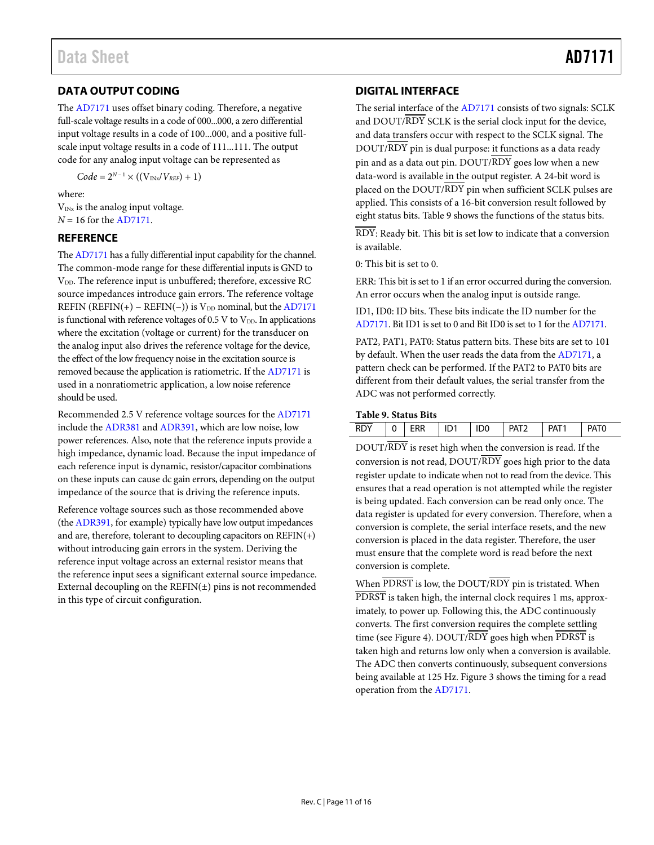# <span id="page-10-0"></span>**DATA OUTPUT CODING**

The [AD7171](http://www.analog.com/AD7171?doc=AD7171.pdf) uses offset binary coding. Therefore, a negative full-scale voltage results in a code of 000...000, a zero differential input voltage results in a code of 100...000, and a positive fullscale input voltage results in a code of 111...111. The output code for any analog input voltage can be represented as

 $Code = 2^{N-1} \times ((V_{INx}/V_{REF}) + 1)$ 

where:

 $V_{INx}$  is the analog input voltage. *N* = 16 for the [AD7171.](http://www.analog.com/AD7171?doc=AD7171.pdf)

### <span id="page-10-1"></span>**REFERENCE**

Th[e AD7171](http://www.analog.com/AD7171?doc=AD7171.pdf) has a fully differential input capability for the channel. The common-mode range for these differential inputs is GND to V<sub>DD</sub>. The reference input is unbuffered; therefore, excessive RC source impedances introduce gain errors. The reference voltage REFIN (REFIN(+) – REFIN(−)) is  $V_{DD}$  nominal, but th[e AD7171](http://www.analog.com/AD7171?doc=AD7171.pdf) is functional with reference voltages of 0.5 V to  $V_{DD}$ . In applications where the excitation (voltage or current) for the transducer on the analog input also drives the reference voltage for the device, the effect of the low frequency noise in the excitation source is removed because the application is ratiometric. If th[e AD7171](http://www.analog.com/AD7171?doc=AD7171.pdf) is used in a nonratiometric application, a low noise reference should be used.

Recommended 2.5 V reference voltage sources for the [AD7171](http://www.analog.com/AD7171?doc=AD7171.pdf) include th[e ADR381](http://www.analog.com/ADR381?doc=AD7171.pdf) and [ADR391,](http://www.analog.com/ADR391?doc=AD7171.pdf) which are low noise, low power references. Also, note that the reference inputs provide a high impedance, dynamic load. Because the input impedance of each reference input is dynamic, resistor/capacitor combinations on these inputs can cause dc gain errors, depending on the output impedance of the source that is driving the reference inputs.

Reference voltage sources such as those recommended above (the [ADR391,](http://www.analog.com/ADR391?doc=AD7171.pdf) for example) typically have low output impedances and are, therefore, tolerant to decoupling capacitors on REFIN(+) without introducing gain errors in the system. Deriving the reference input voltage across an external resistor means that the reference input sees a significant external source impedance. External decoupling on the  $REFIN(\pm)$  pins is not recommended in this type of circuit configuration.

## <span id="page-10-2"></span>**DIGITAL INTERFACE**

The serial interface of th[e AD7171](http://www.analog.com/AD7171?doc=AD7171.pdf) consists of two signals: SCLK and DOUT/RDY SCLK is the serial clock input for the device, and data transfers occur with respect to the SCLK signal. The DOUT/RDY pin is dual purpose: it functions as a data ready pin and as a data out pin.  $DOUT/RDY$  goes low when a new data-word is available in the output register. A 24-bit word is placed on the DOUT/RDY pin when sufficient SCLK pulses are applied. This consists of a 16-bit conversion result followed by eight status bits[. Table 9](#page-10-3) shows the functions of the status bits.

RDY: Ready bit. This bit is set low to indicate that a conversion is available.

0: This bit is set to 0.

ERR: This bit is set to 1 if an error occurred during the conversion. An error occurs when the analog input is outside range.

ID1, ID0: ID bits. These bits indicate the ID number for the [AD7171.](http://www.analog.com/AD7171?doc=AD7171.pdf) Bit ID1 is set to 0 and Bit ID0 is set to 1 for th[e AD7171.](http://www.analog.com/AD7171?doc=AD7171.pdf)

PAT2, PAT1, PAT0: Status pattern bits. These bits are set to 101 by default. When the user reads the data from th[e AD7171,](http://www.analog.com/AD7171?doc=AD7171.pdf) a pattern check can be performed. If the PAT2 to PAT0 bits are different from their default values, the serial transfer from the ADC was not performed correctly.

#### <span id="page-10-3"></span>**Table 9. Status Bits**

| <b>RDY</b> | <b>ERR</b> | ID1 | ID <sub>0</sub> | <b>PAT?</b> | PAT <sub>1</sub> | <b>PATC</b> |  |
|------------|------------|-----|-----------------|-------------|------------------|-------------|--|

DOUT/RDY is reset high when the conversion is read. If the conversion is not read,  $DOUT/RDY$  goes high prior to the data register update to indicate when not to read from the device. This ensures that a read operation is not attempted while the register is being updated. Each conversion can be read only once. The data register is updated for every conversion. Therefore, when a conversion is complete, the serial interface resets, and the new conversion is placed in the data register. Therefore, the user must ensure that the complete word is read before the next conversion is complete.

When PDRST is low, the DOUT/RDY pin is tristated. When PDRST is taken high, the internal clock requires 1 ms, approximately, to power up. Following this, the ADC continuously converts. The first conversion requires the complete settling time (see [Figure 4\)](#page-4-4). DOUT/RDY goes high when PDRST is taken high and returns low only when a conversion is available. The ADC then converts continuously, subsequent conversions being available at 125 Hz[. Figure 3](#page-4-2) shows the timing for a read operation from the [AD7171.](http://www.analog.com/AD7171?doc=AD7171.pdf)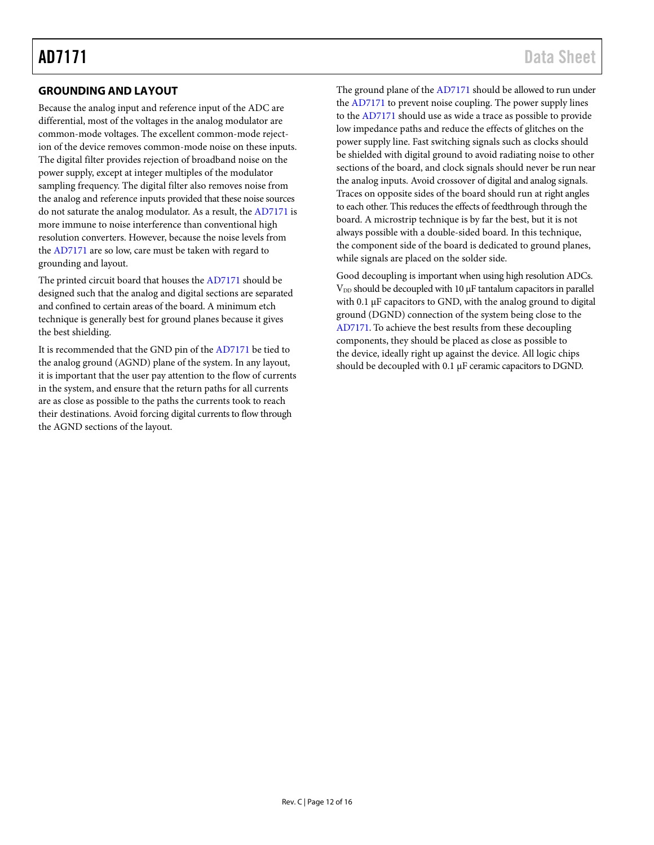# <span id="page-11-0"></span>**GROUNDING AND LAYOUT**

Because the analog input and reference input of the ADC are differential, most of the voltages in the analog modulator are common-mode voltages. The excellent common-mode rejection of the device removes common-mode noise on these inputs. The digital filter provides rejection of broadband noise on the power supply, except at integer multiples of the modulator sampling frequency. The digital filter also removes noise from the analog and reference inputs provided that these noise sources do not saturate the analog modulator. As a result, th[e AD7171](http://www.analog.com/AD7171?doc=AD7171.pdf) is more immune to noise interference than conventional high resolution converters. However, because the noise levels from the [AD7171](http://www.analog.com/AD7171?doc=AD7171.pdf) are so low, care must be taken with regard to grounding and layout.

The printed circuit board that houses th[e AD7171](http://www.analog.com/AD7171?doc=AD7171.pdf) should be designed such that the analog and digital sections are separated and confined to certain areas of the board. A minimum etch technique is generally best for ground planes because it gives the best shielding.

It is recommended that the GND pin of the [AD7171](http://www.analog.com/AD7171?doc=AD7171.pdf) be tied to the analog ground (AGND) plane of the system. In any layout, it is important that the user pay attention to the flow of currents in the system, and ensure that the return paths for all currents are as close as possible to the paths the currents took to reach their destinations. Avoid forcing digital currents to flow through the AGND sections of the layout.

The ground plane of the [AD7171](http://www.analog.com/AD7171?doc=AD7171.pdf) should be allowed to run under the [AD7171](http://www.analog.com/AD7171?doc=AD7171.pdf) to prevent noise coupling. The power supply lines to the [AD7171](http://www.analog.com/AD7171?doc=AD7171.pdf) should use as wide a trace as possible to provide low impedance paths and reduce the effects of glitches on the power supply line. Fast switching signals such as clocks should be shielded with digital ground to avoid radiating noise to other sections of the board, and clock signals should never be run near the analog inputs. Avoid crossover of digital and analog signals. Traces on opposite sides of the board should run at right angles to each other. This reduces the effects of feedthrough through the board. A microstrip technique is by far the best, but it is not always possible with a double-sided board. In this technique, the component side of the board is dedicated to ground planes, while signals are placed on the solder side.

Good decoupling is important when using high resolution ADCs.  $V_{DD}$  should be decoupled with 10  $\mu$ F tantalum capacitors in parallel with 0.1  $\mu$ F capacitors to GND, with the analog ground to digital ground (DGND) connection of the system being close to the [AD7171.](http://www.analog.com/AD7171?doc=AD7171.pdf) To achieve the best results from these decoupling components, they should be placed as close as possible to the device, ideally right up against the device. All logic chips should be decoupled with 0.1 µF ceramic capacitors to DGND.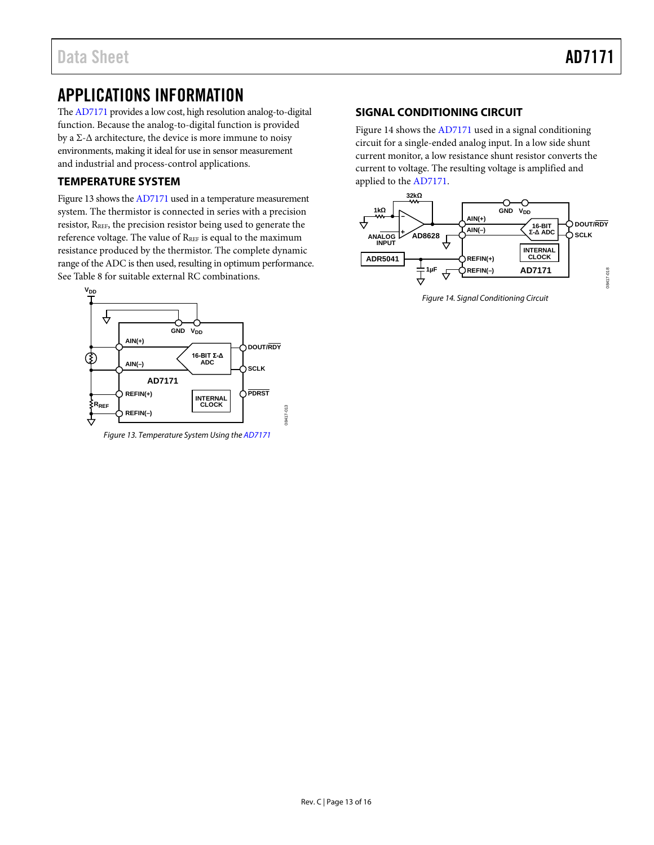# <span id="page-12-0"></span>APPLICATIONS INFORMATION

Th[e AD7171](http://www.analog.com/AD7171?doc=AD7171.pdf) provides a low cost, high resolution analog-to-digital function. Because the analog-to-digital function is provided by a  $\Sigma$ - $\Delta$  architecture, the device is more immune to noisy environments, making it ideal for use in sensor measurement and industrial and process-control applications.

## <span id="page-12-1"></span>**TEMPERATURE SYSTEM**

[Figure 13](#page-12-3) shows th[e AD7171](http://www.analog.com/AD7171?doc=AD7171.pdf) used in a temperature measurement system. The thermistor is connected in series with a precision resistor, RREF, the precision resistor being used to generate the reference voltage. The value of RREF is equal to the maximum resistance produced by the thermistor. The complete dynamic range of the ADC is then used, resulting in optimum performance. See [Table 8](#page-9-8) for suitable external RC combinations.



<span id="page-12-3"></span>*Figure 13. Temperature System Using th[e AD7171](http://www.analog.com/AD7171?doc=AD7171.pdf)*

### <span id="page-12-2"></span>**SIGNAL CONDITIONING CIRCUIT**

[Figure 14](#page-12-4) shows th[e AD7171](http://www.analog.com/AD7171?doc=AD7171.pdf) used in a signal conditioning circuit for a single-ended analog input. In a low side shunt current monitor, a low resistance shunt resistor converts the current to voltage. The resulting voltage is amplified and applied to the [AD7171.](http://www.analog.com/AD7171?doc=AD7171.pdf) 



<span id="page-12-4"></span>*Figure 14. Signal Conditioning Circuit*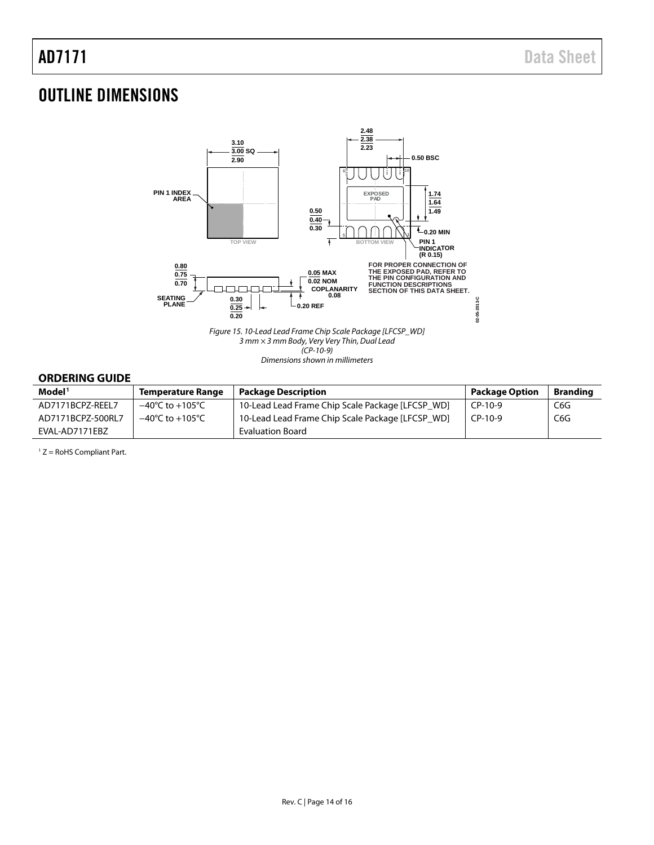# <span id="page-13-0"></span>OUTLINE DIMENSIONS



*(CP-10-9)*

*Dimensions shown in millimeters*

### <span id="page-13-1"></span>**ORDERING GUIDE**

| Model <sup>1</sup> | <b>Temperature Range</b>            | <b>Package Description</b>                       | <b>Package Option</b> | <b>Branding</b> |
|--------------------|-------------------------------------|--------------------------------------------------|-----------------------|-----------------|
| AD7171BCPZ-REEL7   | –40°C to +105°C                     | 10-Lead Lead Frame Chip Scale Package [LFCSP WD] | $CP-10-9$             | C6G             |
| AD7171BCPZ-500RL7  | $-40^{\circ}$ C to $+105^{\circ}$ C | 10-Lead Lead Frame Chip Scale Package [LFCSP WD] | $CP-10-9$             | C6G             |
| EVAL-AD7171EBZ     |                                     | Evaluation Board                                 |                       |                 |

 $1 Z =$  RoHS Compliant Part.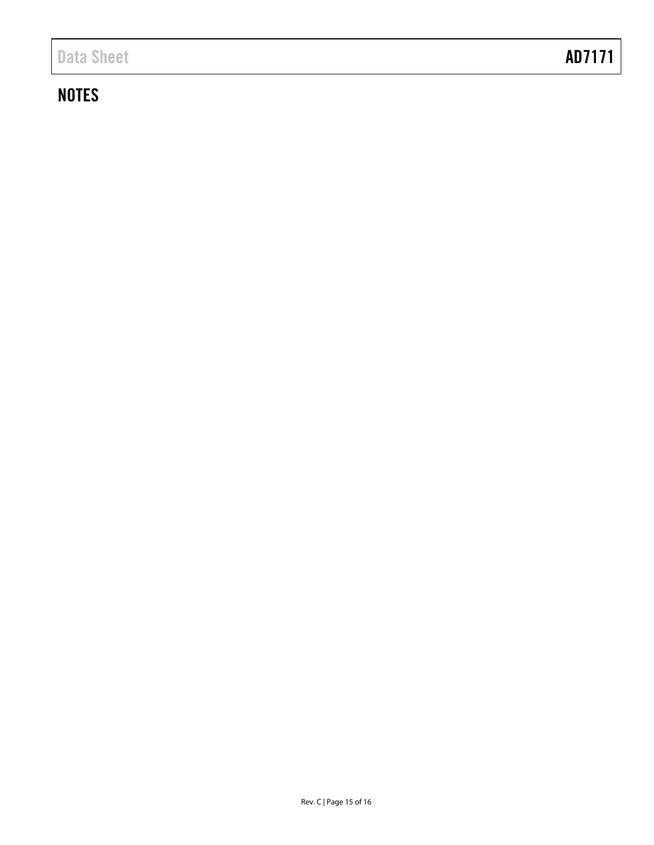# **NOTES**